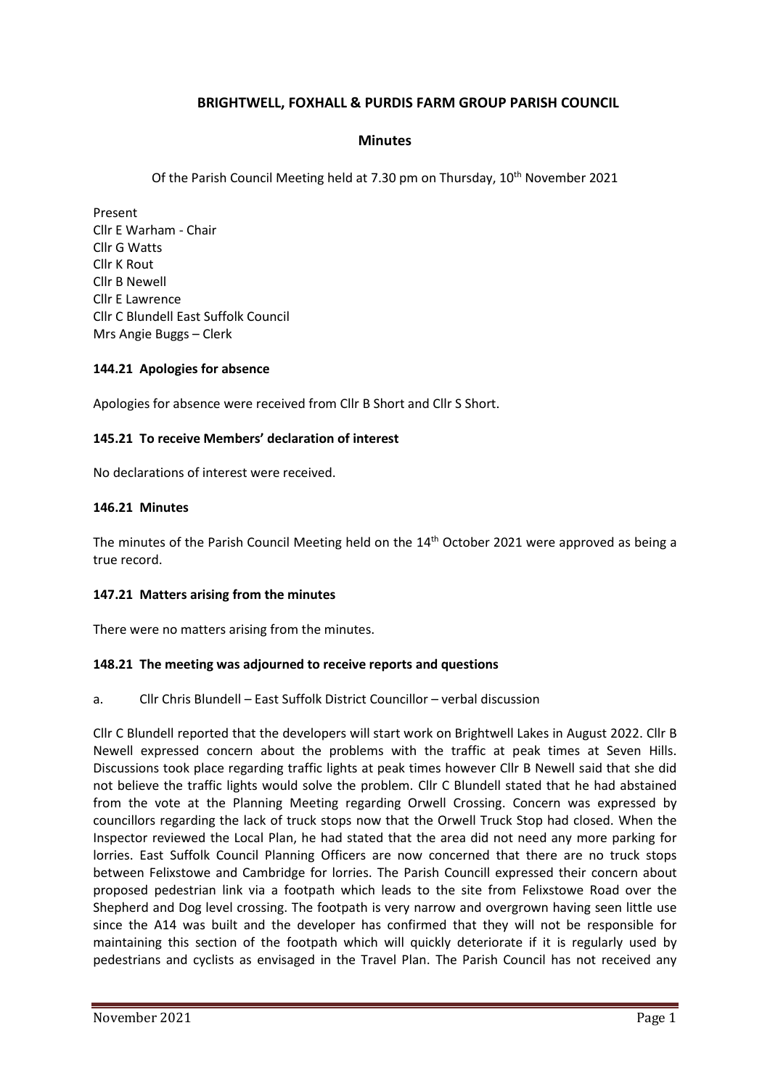# **BRIGHTWELL, FOXHALL & PURDIS FARM GROUP PARISH COUNCIL**

### **Minutes**

Of the Parish Council Meeting held at 7.30 pm on Thursday, 10th November 2021

Present Cllr E Warham - Chair Cllr G Watts Cllr K Rout Cllr B Newell Cllr E Lawrence Cllr C Blundell East Suffolk Council Mrs Angie Buggs – Clerk

#### **144.21 Apologies for absence**

Apologies for absence were received from Cllr B Short and Cllr S Short.

### **145.21 To receive Members' declaration of interest**

No declarations of interest were received.

#### **146.21 Minutes**

The minutes of the Parish Council Meeting held on the  $14<sup>th</sup>$  October 2021 were approved as being a true record.

#### **147.21 Matters arising from the minutes**

There were no matters arising from the minutes.

#### **148.21 The meeting was adjourned to receive reports and questions**

a. Cllr Chris Blundell – East Suffolk District Councillor – verbal discussion

Cllr C Blundell reported that the developers will start work on Brightwell Lakes in August 2022. Cllr B Newell expressed concern about the problems with the traffic at peak times at Seven Hills. Discussions took place regarding traffic lights at peak times however Cllr B Newell said that she did not believe the traffic lights would solve the problem. Cllr C Blundell stated that he had abstained from the vote at the Planning Meeting regarding Orwell Crossing. Concern was expressed by councillors regarding the lack of truck stops now that the Orwell Truck Stop had closed. When the Inspector reviewed the Local Plan, he had stated that the area did not need any more parking for lorries. East Suffolk Council Planning Officers are now concerned that there are no truck stops between Felixstowe and Cambridge for lorries. The Parish Councill expressed their concern about proposed pedestrian link via a footpath which leads to the site from Felixstowe Road over the Shepherd and Dog level crossing. The footpath is very narrow and overgrown having seen little use since the A14 was built and the developer has confirmed that they will not be responsible for maintaining this section of the footpath which will quickly deteriorate if it is regularly used by pedestrians and cyclists as envisaged in the Travel Plan. The Parish Council has not received any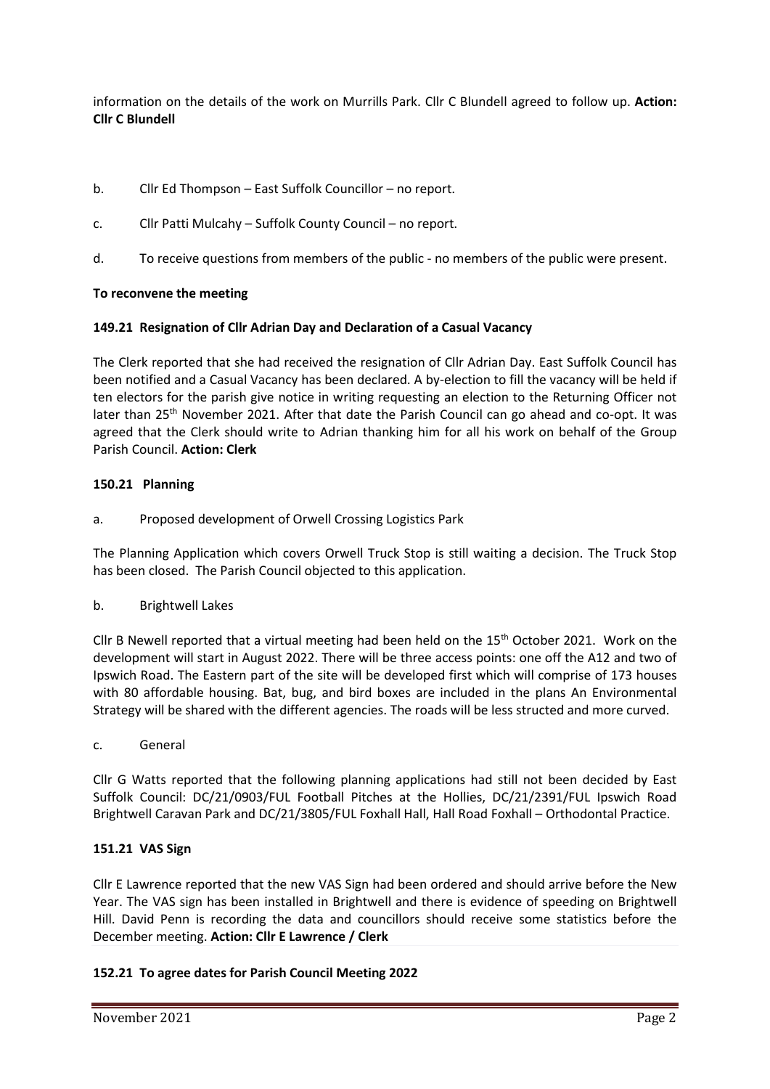information on the details of the work on Murrills Park. Cllr C Blundell agreed to follow up. **Action: Cllr C Blundell**

- b. Cllr Ed Thompson East Suffolk Councillor no report.
- c. Cllr Patti Mulcahy Suffolk County Council no report.
- d. To receive questions from members of the public no members of the public were present.

## **To reconvene the meeting**

### **149.21 Resignation of Cllr Adrian Day and Declaration of a Casual Vacancy**

The Clerk reported that she had received the resignation of Cllr Adrian Day. East Suffolk Council has been notified and a Casual Vacancy has been declared. A by-election to fill the vacancy will be held if ten electors for the parish give notice in writing requesting an election to the Returning Officer not later than  $25<sup>th</sup>$  November 2021. After that date the Parish Council can go ahead and co-opt. It was agreed that the Clerk should write to Adrian thanking him for all his work on behalf of the Group Parish Council. **Action: Clerk**

## **150.21 Planning**

a. Proposed development of Orwell Crossing Logistics Park

The Planning Application which covers Orwell Truck Stop is still waiting a decision. The Truck Stop has been closed. The Parish Council objected to this application.

b. Brightwell Lakes

Cllr B Newell reported that a virtual meeting had been held on the  $15<sup>th</sup>$  October 2021. Work on the development will start in August 2022. There will be three access points: one off the A12 and two of Ipswich Road. The Eastern part of the site will be developed first which will comprise of 173 houses with 80 affordable housing. Bat, bug, and bird boxes are included in the plans An Environmental Strategy will be shared with the different agencies. The roads will be less structed and more curved.

c. General

Cllr G Watts reported that the following planning applications had still not been decided by East Suffolk Council: DC/21/0903/FUL Football Pitches at the Hollies, DC/21/2391/FUL Ipswich Road Brightwell Caravan Park and DC/21/3805/FUL Foxhall Hall, Hall Road Foxhall – Orthodontal Practice.

## **151.21 VAS Sign**

Cllr E Lawrence reported that the new VAS Sign had been ordered and should arrive before the New Year. The VAS sign has been installed in Brightwell and there is evidence of speeding on Brightwell Hill. David Penn is recording the data and councillors should receive some statistics before the December meeting. **Action: Cllr E Lawrence / Clerk**

## **152.21 To agree dates for Parish Council Meeting 2022**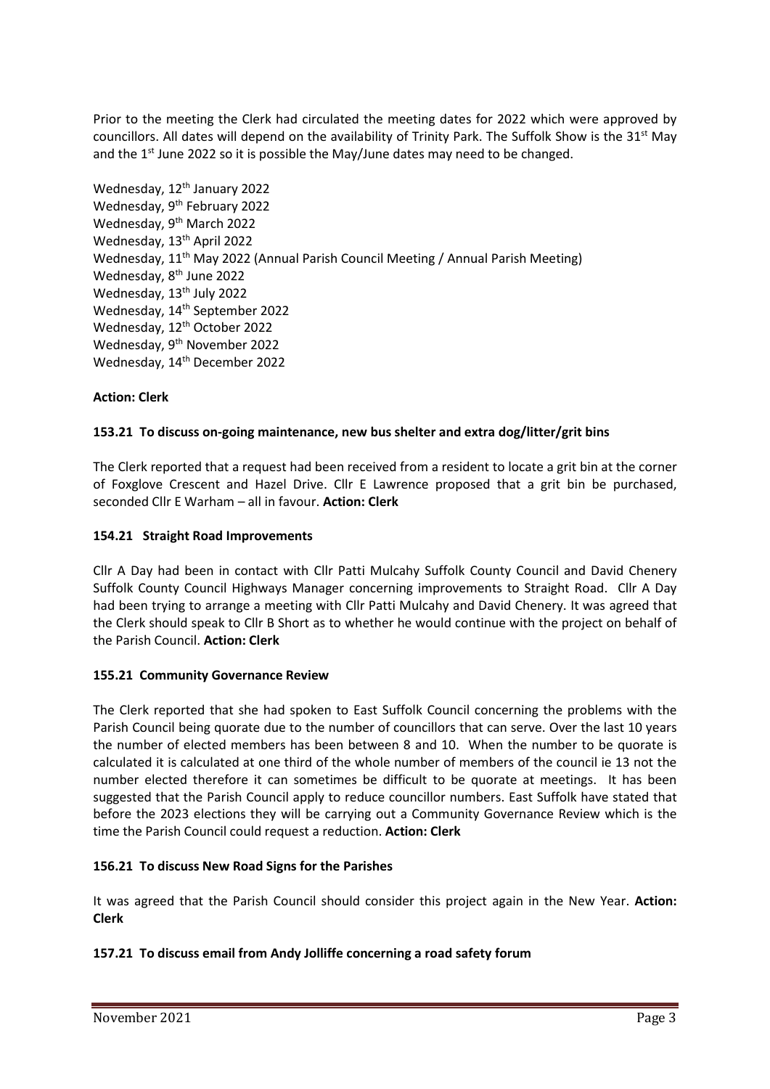Prior to the meeting the Clerk had circulated the meeting dates for 2022 which were approved by councillors. All dates will depend on the availability of Trinity Park. The Suffolk Show is the 31<sup>st</sup> May and the 1<sup>st</sup> June 2022 so it is possible the May/June dates may need to be changed.

Wednesday, 12<sup>th</sup> January 2022 Wednesday, 9<sup>th</sup> February 2022 Wednesday, 9<sup>th</sup> March 2022 Wednesday, 13<sup>th</sup> April 2022 Wednesday, 11<sup>th</sup> May 2022 (Annual Parish Council Meeting / Annual Parish Meeting) Wednesday, 8<sup>th</sup> June 2022 Wednesday, 13<sup>th</sup> July 2022 Wednesday, 14<sup>th</sup> September 2022 Wednesday, 12<sup>th</sup> October 2022 Wednesday, 9<sup>th</sup> November 2022 Wednesday, 14<sup>th</sup> December 2022

# **Action: Clerk**

## **153.21 To discuss on-going maintenance, new bus shelter and extra dog/litter/grit bins**

The Clerk reported that a request had been received from a resident to locate a grit bin at the corner of Foxglove Crescent and Hazel Drive. Cllr E Lawrence proposed that a grit bin be purchased, seconded Cllr E Warham – all in favour. **Action: Clerk**

### **154.21 Straight Road Improvements**

Cllr A Day had been in contact with Cllr Patti Mulcahy Suffolk County Council and David Chenery Suffolk County Council Highways Manager concerning improvements to Straight Road. Cllr A Day had been trying to arrange a meeting with Cllr Patti Mulcahy and David Chenery. It was agreed that the Clerk should speak to Cllr B Short as to whether he would continue with the project on behalf of the Parish Council. **Action: Clerk**

## **155.21 Community Governance Review**

The Clerk reported that she had spoken to East Suffolk Council concerning the problems with the Parish Council being quorate due to the number of councillors that can serve. Over the last 10 years the number of elected members has been between 8 and 10. When the number to be quorate is calculated it is calculated at one third of the whole number of members of the council ie 13 not the number elected therefore it can sometimes be difficult to be quorate at meetings. It has been suggested that the Parish Council apply to reduce councillor numbers. East Suffolk have stated that before the 2023 elections they will be carrying out a Community Governance Review which is the time the Parish Council could request a reduction. **Action: Clerk**

#### **156.21 To discuss New Road Signs for the Parishes**

It was agreed that the Parish Council should consider this project again in the New Year. **Action: Clerk**

## **157.21 To discuss email from Andy Jolliffe concerning a road safety forum**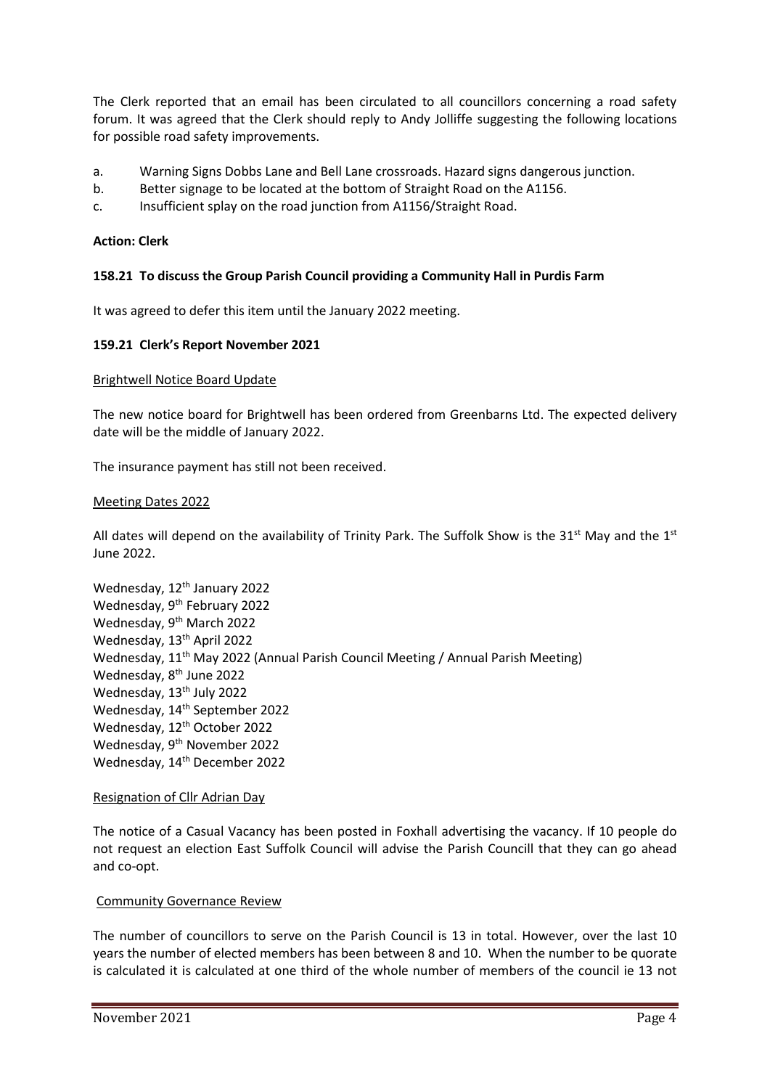The Clerk reported that an email has been circulated to all councillors concerning a road safety forum. It was agreed that the Clerk should reply to Andy Jolliffe suggesting the following locations for possible road safety improvements.

- a. Warning Signs Dobbs Lane and Bell Lane crossroads. Hazard signs dangerous junction.
- b. Better signage to be located at the bottom of Straight Road on the A1156.
- c. Insufficient splay on the road junction from A1156/Straight Road.

### **Action: Clerk**

### **158.21 To discuss the Group Parish Council providing a Community Hall in Purdis Farm**

It was agreed to defer this item until the January 2022 meeting.

#### **159.21 Clerk's Report November 2021**

#### Brightwell Notice Board Update

The new notice board for Brightwell has been ordered from Greenbarns Ltd. The expected delivery date will be the middle of January 2022.

The insurance payment has still not been received.

#### Meeting Dates 2022

All dates will depend on the availability of Trinity Park. The Suffolk Show is the 31<sup>st</sup> May and the 1<sup>st</sup> June 2022.

Wednesday, 12<sup>th</sup> January 2022 Wednesday, 9<sup>th</sup> February 2022 Wednesday, 9<sup>th</sup> March 2022 Wednesday, 13<sup>th</sup> April 2022 Wednesday, 11<sup>th</sup> May 2022 (Annual Parish Council Meeting / Annual Parish Meeting) Wednesday, 8<sup>th</sup> June 2022 Wednesday, 13<sup>th</sup> July 2022 Wednesday, 14<sup>th</sup> September 2022 Wednesday, 12<sup>th</sup> October 2022 Wednesday, 9<sup>th</sup> November 2022 Wednesday, 14<sup>th</sup> December 2022

#### Resignation of Cllr Adrian Day

The notice of a Casual Vacancy has been posted in Foxhall advertising the vacancy. If 10 people do not request an election East Suffolk Council will advise the Parish Councill that they can go ahead and co-opt.

#### Community Governance Review

The number of councillors to serve on the Parish Council is 13 in total. However, over the last 10 years the number of elected members has been between 8 and 10. When the number to be quorate is calculated it is calculated at one third of the whole number of members of the council ie 13 not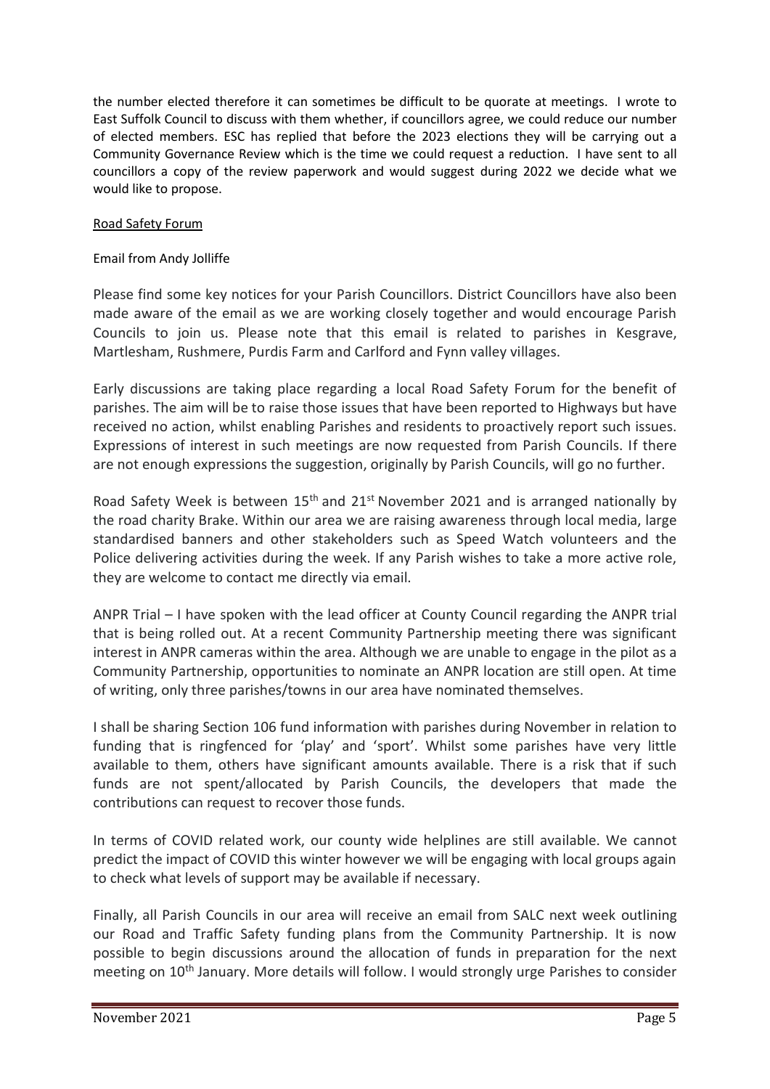the number elected therefore it can sometimes be difficult to be quorate at meetings. I wrote to East Suffolk Council to discuss with them whether, if councillors agree, we could reduce our number of elected members. ESC has replied that before the 2023 elections they will be carrying out a Community Governance Review which is the time we could request a reduction. I have sent to all councillors a copy of the review paperwork and would suggest during 2022 we decide what we would like to propose.

## Road Safety Forum

Email from Andy Jolliffe

Please find some key notices for your Parish Councillors. District Councillors have also been made aware of the email as we are working closely together and would encourage Parish Councils to join us. Please note that this email is related to parishes in Kesgrave, Martlesham, Rushmere, Purdis Farm and Carlford and Fynn valley villages.

Early discussions are taking place regarding a local Road Safety Forum for the benefit of parishes. The aim will be to raise those issues that have been reported to Highways but have received no action, whilst enabling Parishes and residents to proactively report such issues. Expressions of interest in such meetings are now requested from Parish Councils. If there are not enough expressions the suggestion, originally by Parish Councils, will go no further.

Road Safety Week is between  $15<sup>th</sup>$  and  $21<sup>st</sup>$  November 2021 and is arranged nationally by the road charity Brake. Within our area we are raising awareness through local media, large standardised banners and other stakeholders such as Speed Watch volunteers and the Police delivering activities during the week. If any Parish wishes to take a more active role, they are welcome to contact me directly via email.

ANPR Trial – I have spoken with the lead officer at County Council regarding the ANPR trial that is being rolled out. At a recent Community Partnership meeting there was significant interest in ANPR cameras within the area. Although we are unable to engage in the pilot as a Community Partnership, opportunities to nominate an ANPR location are still open. At time of writing, only three parishes/towns in our area have nominated themselves.

I shall be sharing Section 106 fund information with parishes during November in relation to funding that is ringfenced for 'play' and 'sport'. Whilst some parishes have very little available to them, others have significant amounts available. There is a risk that if such funds are not spent/allocated by Parish Councils, the developers that made the contributions can request to recover those funds.

In terms of COVID related work, our county wide helplines are still available. We cannot predict the impact of COVID this winter however we will be engaging with local groups again to check what levels of support may be available if necessary.

Finally, all Parish Councils in our area will receive an email from SALC next week outlining our Road and Traffic Safety funding plans from the Community Partnership. It is now possible to begin discussions around the allocation of funds in preparation for the next meeting on 10th January. More details will follow. I would strongly urge Parishes to consider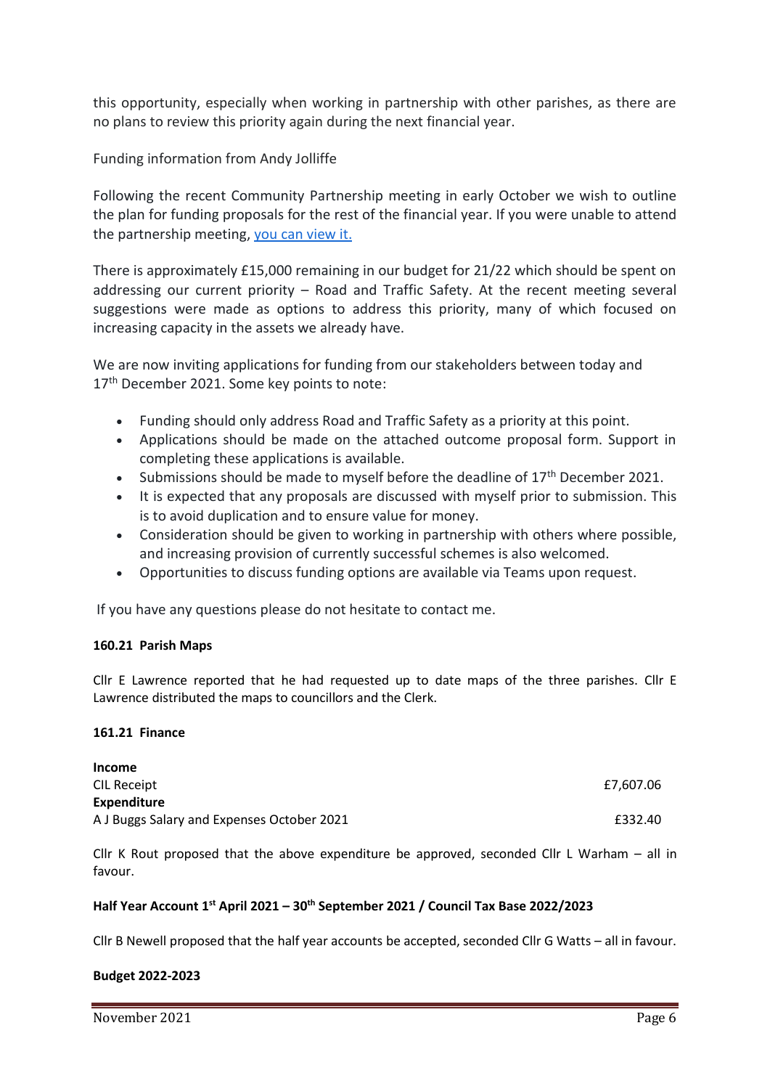this opportunity, especially when working in partnership with other parishes, as there are no plans to review this priority again during the next financial year.

Funding information from Andy Jolliffe

Following the recent Community Partnership meeting in early October we wish to outline the plan for funding proposals for the rest of the financial year. If you were unable to attend the partnership meeting, [you can view it.](https://youtu.be/HiJzvxPFbM4)

There is approximately £15,000 remaining in our budget for 21/22 which should be spent on addressing our current priority – Road and Traffic Safety. At the recent meeting several suggestions were made as options to address this priority, many of which focused on increasing capacity in the assets we already have.

We are now inviting applications for funding from our stakeholders between today and 17<sup>th</sup> December 2021. Some key points to note:

- Funding should only address Road and Traffic Safety as a priority at this point.
- Applications should be made on the attached outcome proposal form. Support in completing these applications is available.
- Submissions should be made to myself before the deadline of 17<sup>th</sup> December 2021.
- It is expected that any proposals are discussed with myself prior to submission. This is to avoid duplication and to ensure value for money.
- Consideration should be given to working in partnership with others where possible, and increasing provision of currently successful schemes is also welcomed.
- Opportunities to discuss funding options are available via Teams upon request.

If you have any questions please do not hesitate to contact me.

#### **160.21 Parish Maps**

Cllr E Lawrence reported that he had requested up to date maps of the three parishes. Cllr E Lawrence distributed the maps to councillors and the Clerk.

#### **161.21 Finance**

| <b>Income</b>                              |           |
|--------------------------------------------|-----------|
| CIL Receipt                                | £7.607.06 |
| <b>Expenditure</b>                         |           |
| A J Buggs Salary and Expenses October 2021 | £332.40   |

Cllr K Rout proposed that the above expenditure be approved, seconded Cllr L Warham – all in favour.

#### **Half Year Account 1st April 2021 – 30 th September 2021 / Council Tax Base 2022/2023**

Cllr B Newell proposed that the half year accounts be accepted, seconded Cllr G Watts – all in favour.

#### **Budget 2022-2023**